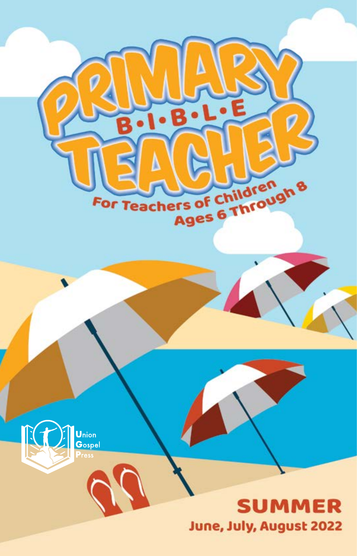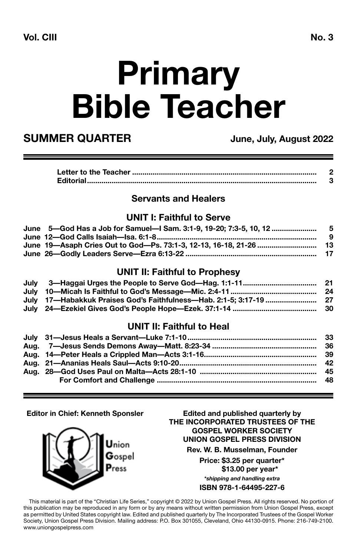# **Primary Bible Teacher**

### **SUMMER QUARTER** June, July, August 2022

#### **Servants and Healers**

#### **UNIT I: Faithful to Serve**

| June 5—God Has a Job for Samuel—I Sam. 3:1-9. 19-20: 7:3-5. 10. 12 …………………………………… |     |
|-----------------------------------------------------------------------------------|-----|
|                                                                                   | - 9 |
|                                                                                   |     |
|                                                                                   |     |

#### **UNIT II: Faithful to Prophesy**

| July 10—Micah Is Faithful to God's Message—Mic. 2:4-11 …………………………………………………………………… |  |
|-----------------------------------------------------------------------------------|--|
| July 17—Habakkuk Praises God's Faithfulness—Hab. 2:1-5; 3:17-19 ………………………… 27     |  |
| July 24—Ezekiel Gives God's People Hope—Ezek. 37:1-14 ………………………………………… 30         |  |

#### **UNIT II: Faithful to Heal**

#### **Editor in Chief: Kenneth Sponsler**

Jnion  ${\bf G}$ ospel Press

**Edited and published quarterly by THE INCORPORATED TRUSTEES OF THE GOSPEL WORKER SOCIETY UNION GOSPEL PRESS DIVISION**

**Rev. W. B. Musselman, Founder**

**Price: \$3.25 per quarter\* \$13.00 per year\*** *\*shipping and handling extra*

**ISBN 978-1-64495-227-6**

This material is part of the "Christian Life Series," copyright © 2022 by Union Gospel Press. All rights reserved. No portion of this publication may be reproduced in any form or by any means without written permission from Union Gospel Press, except as permitted by United States copyright law. Edited and published quarterly by The Incorporated Trustees of the Gospel Worker Society, Union Gospel Press Division. Mailing address: P.O. Box 301055, Cleveland, Ohio 44130-0915. Phone: 216-749-2100. www.uniongospelpress.com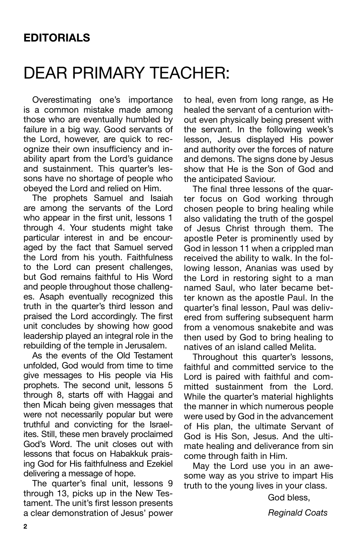### DEAR PRIMARY TEACHER:

Overestimating one's importance is a common mistake made among those who are eventually humbled by failure in a big way. Good servants of the Lord, however, are quick to recognize their own insufficiency and inability apart from the Lord's guidance and sustainment. This quarter's lessons have no shortage of people who obeyed the Lord and relied on Him.

The prophets Samuel and Isaiah are among the servants of the Lord who appear in the first unit, lessons 1 through 4. Your students might take particular interest in and be encouraged by the fact that Samuel served the Lord from his youth. Faithfulness to the Lord can present challenges, but God remains faithful to His Word and people throughout those challenges. Asaph eventually recognized this truth in the quarter's third lesson and praised the Lord accordingly. The first unit concludes by showing how good leadership played an integral role in the rebuilding of the temple in Jerusalem.

As the events of the Old Testament unfolded, God would from time to time give messages to His people via His prophets. The second unit, lessons 5 through 8, starts off with Haggai and then Micah being given messages that were not necessarily popular but were truthful and convicting for the Israelites. Still, these men bravely proclaimed God's Word. The unit closes out with lessons that focus on Habakkuk praising God for His faithfulness and Ezekiel delivering a message of hope.

The quarter's final unit, lessons 9 through 13, picks up in the New Testament. The unit's first lesson presents a clear demonstration of Jesus' power to heal, even from long range, as He healed the servant of a centurion without even physically being present with the servant. In the following week's lesson, Jesus displayed His power and authority over the forces of nature and demons. The signs done by Jesus show that He is the Son of God and the anticipated Saviour.

The final three lessons of the quarter focus on God working through chosen people to bring healing while also validating the truth of the gospel of Jesus Christ through them. The apostle Peter is prominently used by God in lesson 11 when a crippled man received the ability to walk. In the following lesson, Ananias was used by the Lord in restoring sight to a man named Saul, who later became better known as the apostle Paul. In the quarter's final lesson, Paul was delivered from suffering subsequent harm from a venomous snakebite and was then used by God to bring healing to natives of an island called Melita.

Throughout this quarter's lessons, faithful and committed service to the Lord is paired with faithful and committed sustainment from the Lord. While the quarter's material highlights the manner in which numerous people were used by God in the advancement of His plan, the ultimate Servant of God is His Son, Jesus. And the ultimate healing and deliverance from sin come through faith in Him.

May the Lord use you in an awesome way as you strive to impart His truth to the young lives in your class.

God bless,

*Reginald Coats*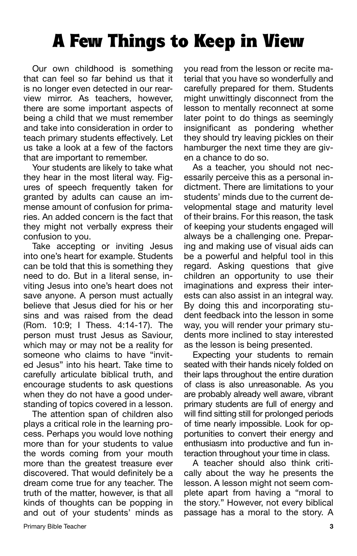### A Few Things to Keep in View

Our own childhood is something that can feel so far behind us that it is no longer even detected in our rearview mirror. As teachers, however, there are some important aspects of being a child that we must remember and take into consideration in order to teach primary students effectively. Let us take a look at a few of the factors that are important to remember.

Your students are likely to take what they hear in the most literal way. Figures of speech frequently taken for granted by adults can cause an immense amount of confusion for primaries. An added concern is the fact that they might not verbally express their confusion to you.

Take accepting or inviting Jesus into one's heart for example. Students can be told that this is something they need to do. But in a literal sense, inviting Jesus into one's heart does not save anyone. A person must actually believe that Jesus died for his or her sins and was raised from the dead (Rom. 10:9; I Thess. 4:14-17). The person must trust Jesus as Saviour, which may or may not be a reality for someone who claims to have "invited Jesus" into his heart. Take time to carefully articulate biblical truth, and encourage students to ask questions when they do not have a good understanding of topics covered in a lesson.

The attention span of children also plays a critical role in the learning process. Perhaps you would love nothing more than for your students to value the words coming from your mouth more than the greatest treasure ever discovered. That would definitely be a dream come true for any teacher. The truth of the matter, however, is that all kinds of thoughts can be popping in and out of your students' minds as

you read from the lesson or recite material that you have so wonderfully and carefully prepared for them. Students might unwittingly disconnect from the lesson to mentally reconnect at some later point to do things as seemingly insignificant as pondering whether they should try leaving pickles on their hamburger the next time they are given a chance to do so.

As a teacher, you should not necessarily perceive this as a personal indictment. There are limitations to your students' minds due to the current developmental stage and maturity level of their brains. For this reason, the task of keeping your students engaged will always be a challenging one. Preparing and making use of visual aids can be a powerful and helpful tool in this regard. Asking questions that give children an opportunity to use their imaginations and express their interests can also assist in an integral way. By doing this and incorporating student feedback into the lesson in some way, you will render your primary students more inclined to stay interested as the lesson is being presented.

Expecting your students to remain seated with their hands nicely folded on their laps throughout the entire duration of class is also unreasonable. As you are probably already well aware, vibrant primary students are full of energy and will find sitting still for prolonged periods of time nearly impossible. Look for opportunities to convert their energy and enthusiasm into productive and fun interaction throughout your time in class.

A teacher should also think critically about the way he presents the lesson. A lesson might not seem complete apart from having a "moral to the story." However, not every biblical passage has a moral to the story. A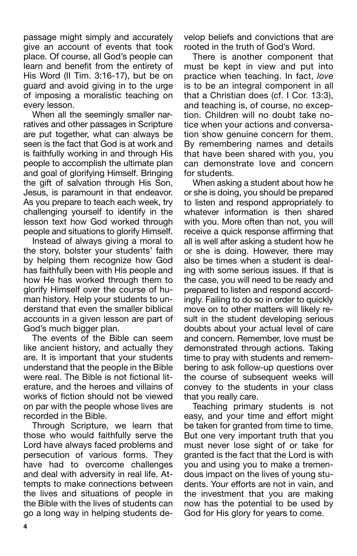passage might simply and accurately give an account of events that took place. Of course, all God's people can learn and benefit from the entirety of His Word (II Tim. 3:16-17), but be on guard and avoid giving in to the urge of imposing a moralistic teaching on every lesson.

When all the seemingly smaller narratives and other passages in Scripture are put together, what can always be seen is the fact that God is at work and is faithfully working in and through His people to accomplish the ultimate plan and goal of glorifying Himself. Bringing the gift of salvation through His Son, Jesus, is paramount in that endeavor. As you prepare to teach each week, try challenging yourself to identify in the lesson text how God worked through people and situations to glorify Himself.

Instead of always giving a moral to the story, bolster your students' faith by helping them recognize how God has faithfully been with His people and how He has worked through them to glorify Himself over the course of human history. Help your students to understand that even the smaller biblical accounts in a given lesson are part of God's much bigger plan.

The events of the Bible can seem like ancient history, and actually they are. It is important that your students understand that the people in the Bible were real. The Bible is not fictional literature, and the heroes and villains of works of fiction should not be viewed on par with the people whose lives are recorded in the Bible.

Through Scripture, we learn that those who would faithfully serve the Lord have always faced problems and persecution of various forms. They have had to overcome challenges and deal with adversity in real life. Attempts to make connections between the lives and situations of people in the Bible with the lives of students can go a long way in helping students de-

velop beliefs and convictions that are rooted in the truth of God's Word.

There is another component that must be kept in view and put into practice when teaching. In fact, *love*  is to be an integral component in all that a Christian does (cf. I Cor. 13:3), and teaching is, of course, no exception. Children will no doubt take notice when your actions and conversation show genuine concern for them. By remembering names and details that have been shared with you, you can demonstrate love and concern for students.

When asking a student about how he or she is doing, you should be prepared to listen and respond appropriately to whatever information is then shared with you. More often than not, you will receive a quick response affirming that all is well after asking a student how he or she is doing. However, there may also be times when a student is dealing with some serious issues. If that is the case, you will need to be ready and prepared to listen and respond accordingly. Failing to do so in order to quickly move on to other matters will likely result in the student developing serious doubts about your actual level of care and concern. Remember, love must be demonstrated through actions. Taking time to pray with students and remembering to ask follow-up questions over the course of subsequent weeks will convey to the students in your class that you really care.

Teaching primary students is not easy, and your time and effort might be taken for granted from time to time. But one very important truth that you must never lose sight of or take for granted is the fact that the Lord is with you and using you to make a tremendous impact on the lives of young students. Your efforts are not in vain, and the investment that you are making now has the potential to be used by God for His glory for years to come.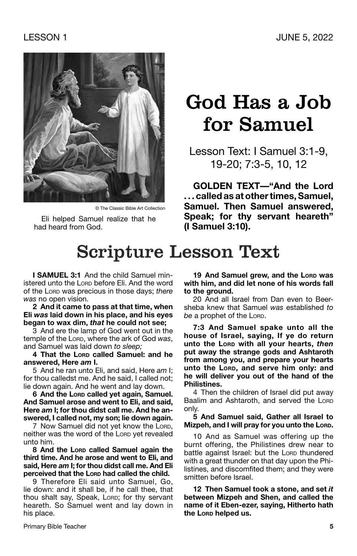

© The Classic Bible Art Collection

Eli helped Samuel realize that he had heard from God.

### God Has a Job for Samuel

Lesson Text: I Samuel 3:1-9, 19-20; 7:3-5, 10, 12

**GOLDEN TEXT—"And the Lord . . . called as at other times, Samuel, Samuel. Then Samuel answered, Speak; for thy servant heareth" (I Samuel 3:10).**

### Scripture Lesson Text

**I SAMUEL 3:1** And the child Samuel ministered unto the Lorp before Eli. And the word of the Lord was precious in those days; *there was* no open vision.

**2 And it came to pass at that time, when Eli** *was* **laid down in his place, and his eyes began to wax dim,** *that* **he could not see;**

3 And ere the lamp of God went out in the temple of the Lorp, where the ark of God was. and Samuel was laid down *to sleep;*

**4 That the Lord called Samuel: and he answered, Here** *am* **I.**

5 And he ran unto Eli, and said, Here *am* I; for thou calledst me. And he said, I called not; lie down again. And he went and lay down.

**6 And the Lord called yet again, Samuel. And Samuel arose and went to Eli, and said, Here** *am* **I; for thou didst call me. And he answered, I called not, my son; lie down again.**

7 Now Samuel did not yet know the LORD, neither was the word of the LORD yet revealed unto him.

**8 And the Lord called Samuel again the third time. And he arose and went to Eli, and said, Here** *am* **I; for thou didst call me. And Eli perceived that the Lord had called the child.**

9 Therefore Eli said unto Samuel, Go, lie down: and it shall be, if he call thee, that thou shalt say, Speak, Lorp; for thy servant heareth. So Samuel went and lay down in his place.

19 And Samuel grew, and the Lorp was **with him, and did let none of his words fall to the ground.**

20 And all Israel from Dan even to Beersheba knew that Samuel *was* established *to*  be a prophet of the Lord.

**7:3 And Samuel spake unto all the house of Israel, saying, If ye do return unto the Lord with all your hearts,** *then* **put away the strange gods and Ashtaroth from among you, and prepare your hearts unto the Lord, and serve him only: and he will deliver you out of the hand of the Philistines.**

4 Then the children of Israel did put away Baalim and Ashtaroth, and served the LORD only.

**5 And Samuel said, Gather all Israel to Mizpeh, and I will pray for you unto the Lord.** 

10 And as Samuel was offering up the burnt offering, the Philistines drew near to battle against Israel: but the LORD thundered with a great thunder on that day upon the Philistines, and discomfited them; and they were smitten before Israel.

**12 Then Samuel took a stone, and set** *it*  **between Mizpeh and Shen, and called the name of it Eben-ezer, saying, Hitherto hath the Lord helped us.**